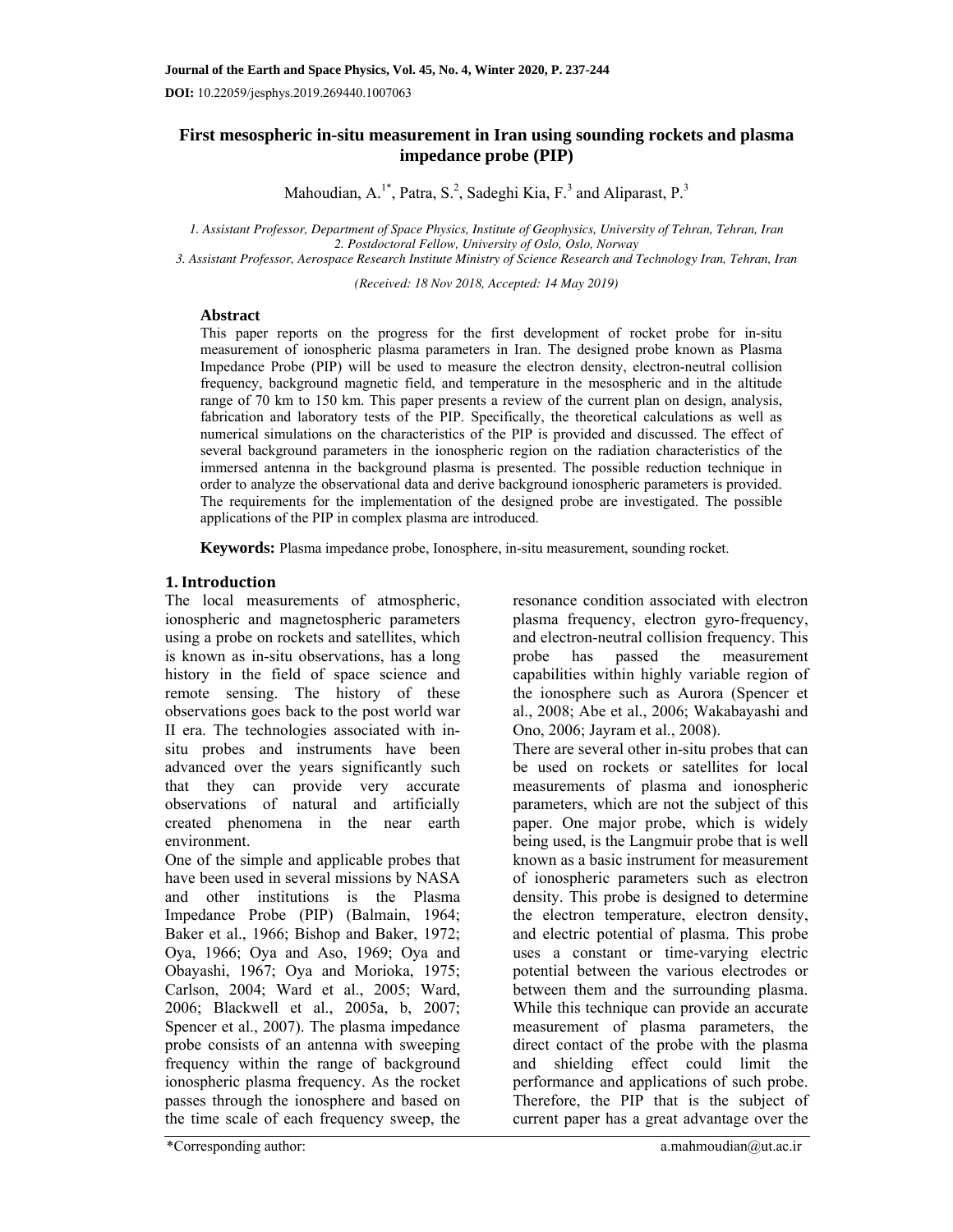**First mesospheric in-situ measurement in Iran using sounding rockets and plasma impedance probe (PIP)** 

Mahoudian, A.<sup>1\*</sup>, Patra, S.<sup>2</sup>, Sadeghi Kia, F.<sup>3</sup> and Aliparast, P.<sup>3</sup>

*1. Assistant Professor, Department of Space Physics, Institute of Geophysics, University of Tehran, Tehran, Iran 2. Postdoctoral Fellow, University of Oslo, Oslo, Norway* 

*3. Assistant Professor, Aerospace Research Institute Ministry of Science Research and Technology Iran, Tehran, Iran* 

*(Received: 18 Nov 2018, Accepted: 14 May 2019)* 

# **Abstract**

This paper reports on the progress for the first development of rocket probe for in-situ measurement of ionospheric plasma parameters in Iran. The designed probe known as Plasma Impedance Probe (PIP) will be used to measure the electron density, electron-neutral collision frequency, background magnetic field, and temperature in the mesospheric and in the altitude range of 70 km to 150 km. This paper presents a review of the current plan on design, analysis, fabrication and laboratory tests of the PIP. Specifically, the theoretical calculations as well as numerical simulations on the characteristics of the PIP is provided and discussed. The effect of several background parameters in the ionospheric region on the radiation characteristics of the immersed antenna in the background plasma is presented. The possible reduction technique in order to analyze the observational data and derive background ionospheric parameters is provided. The requirements for the implementation of the designed probe are investigated. The possible applications of the PIP in complex plasma are introduced.

**Keywords:** Plasma impedance probe, Ionosphere, in-situ measurement, sounding rocket.

# **1. Introduction**

The local measurements of atmospheric, ionospheric and magnetospheric parameters using a probe on rockets and satellites, which is known as in-situ observations, has a long history in the field of space science and remote sensing. The history of these observations goes back to the post world war II era. The technologies associated with insitu probes and instruments have been advanced over the years significantly such that they can provide very accurate observations of natural and artificially created phenomena in the near earth environment.

One of the simple and applicable probes that have been used in several missions by NASA and other institutions is the Plasma Impedance Probe (PIP) (Balmain, 1964; Baker et al., 1966; Bishop and Baker, 1972; Oya, 1966; Oya and Aso, 1969; Oya and Obayashi, 1967; Oya and Morioka, 1975; Carlson, 2004; Ward et al., 2005; Ward, 2006; Blackwell et al., 2005a, b, 2007; Spencer et al., 2007). The plasma impedance probe consists of an antenna with sweeping frequency within the range of background ionospheric plasma frequency. As the rocket passes through the ionosphere and based on the time scale of each frequency sweep, the

resonance condition associated with electron plasma frequency, electron gyro-frequency, and electron-neutral collision frequency. This probe has passed the measurement capabilities within highly variable region of the ionosphere such as Aurora (Spencer et al., 2008; Abe et al., 2006; Wakabayashi and Ono, 2006; Jayram et al., 2008).

There are several other in-situ probes that can be used on rockets or satellites for local measurements of plasma and ionospheric parameters, which are not the subject of this paper. One major probe, which is widely being used, is the Langmuir probe that is well known as a basic instrument for measurement of ionospheric parameters such as electron density. This probe is designed to determine the electron temperature, electron density, and electric potential of plasma. This probe uses a constant or time-varying electric potential between the various electrodes or between them and the surrounding plasma. While this technique can provide an accurate measurement of plasma parameters, the direct contact of the probe with the plasma and shielding effect could limit the performance and applications of such probe. Therefore, the PIP that is the subject of current paper has a great advantage over the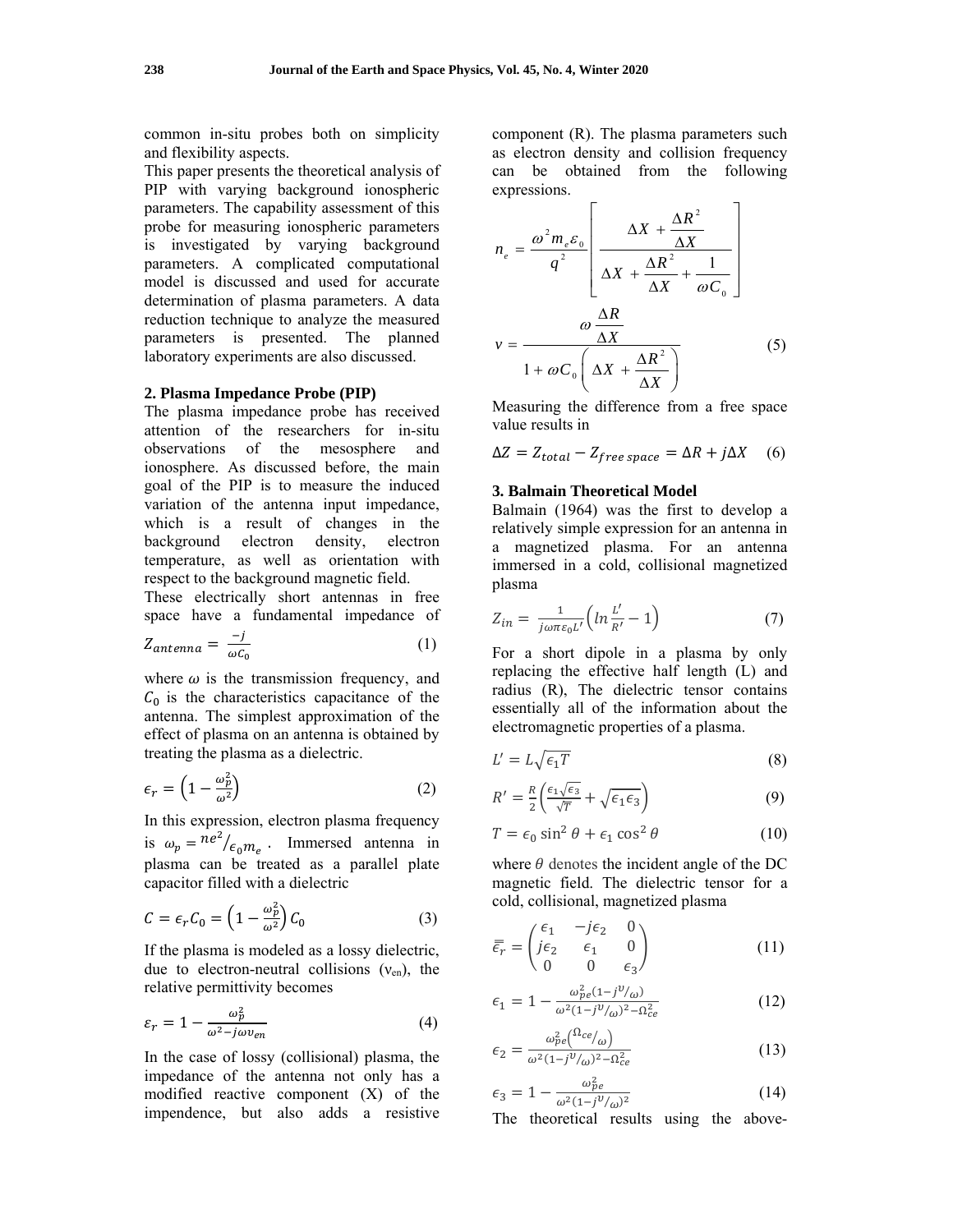common in-situ probes both on simplicity and flexibility aspects.

This paper presents the theoretical analysis of PIP with varying background ionospheric parameters. The capability assessment of this probe for measuring ionospheric parameters is investigated by varying background parameters. A complicated computational model is discussed and used for accurate determination of plasma parameters. A data reduction technique to analyze the measured parameters is presented. The planned laboratory experiments are also discussed.

### **2. Plasma Impedance Probe (PIP)**

The plasma impedance probe has received attention of the researchers for in-situ observations of the mesosphere and ionosphere. As discussed before, the main goal of the PIP is to measure the induced variation of the antenna input impedance, which is a result of changes in the background electron density, electron temperature, as well as orientation with respect to the background magnetic field.

These electrically short antennas in free space have a fundamental impedance of

$$
Z_{antenna} = \frac{-j}{\omega c_0} \tag{1}
$$

where  $\omega$  is the transmission frequency, and  $C_0$  is the characteristics capacitance of the antenna. The simplest approximation of the effect of plasma on an antenna is obtained by treating the plasma as a dielectric.

$$
\epsilon_r = \left(1 - \frac{\omega_p^2}{\omega^2}\right) \tag{2}
$$

In this expression, electron plasma frequency is  $\omega_p = n e^2 / \epsilon_0 m_e$ . Immersed antenna in plasma can be treated as a parallel plate capacitor filled with a dielectric

$$
C = \epsilon_r C_0 = \left(1 - \frac{\omega_p^2}{\omega^2}\right) C_0 \tag{3}
$$

If the plasma is modeled as a lossy dielectric, due to electron-neutral collisions  $(v_{en})$ , the relative permittivity becomes

$$
\varepsilon_r = 1 - \frac{\omega_p^2}{\omega^2 - j\omega v_{en}}\tag{4}
$$

In the case of lossy (collisional) plasma, the impedance of the antenna not only has a modified reactive component (X) of the impendence, but also adds a resistive

component (R). The plasma parameters such as electron density and collision frequency can be obtained from the following expressions.

$$
n_e = \frac{\omega^2 m_e \varepsilon_0}{q^2} \left[ \frac{\Delta X + \frac{\Delta R^2}{\Delta X}}{\Delta X + \frac{\Delta R^2}{\Delta X} + \frac{1}{\omega C_0}} \right]
$$
  

$$
v = \frac{\omega \frac{\Delta R}{\Delta X}}{1 + \omega C_0 \left( \Delta X + \frac{\Delta R^2}{\Delta X} \right)}
$$
(5)

Measuring the difference from a free space value results in

$$
\Delta Z = Z_{total} - Z_{free\ space} = \Delta R + j\Delta X \quad (6)
$$

## **3. Balmain Theoretical Model**

Balmain (1964) was the first to develop a relatively simple expression for an antenna in a magnetized plasma. For an antenna immersed in a cold, collisional magnetized plasma

$$
Z_{in} = \frac{1}{j\omega\pi\varepsilon_0 L'} \Big( \ln\frac{L'}{R'} - 1 \Big) \tag{7}
$$

For a short dipole in a plasma by only replacing the effective half length (L) and radius (R), The dielectric tensor contains essentially all of the information about the electromagnetic properties of a plasma.

$$
L' = L\sqrt{\epsilon_1 T} \tag{8}
$$

$$
R' = \frac{R}{2} \left( \frac{\epsilon_1 \sqrt{\epsilon_3}}{\sqrt{T}} + \sqrt{\epsilon_1 \epsilon_3} \right)
$$
(9)

$$
T = \epsilon_0 \sin^2 \theta + \epsilon_1 \cos^2 \theta \tag{10}
$$

where  $\theta$  denotes the incident angle of the DC magnetic field. The dielectric tensor for a cold, collisional, magnetized plasma

$$
\bar{\bar{\epsilon}_r} = \begin{pmatrix} \epsilon_1 & -j\epsilon_2 & 0 \\ j\epsilon_2 & \epsilon_1 & 0 \\ 0 & 0 & \epsilon_3 \end{pmatrix}
$$
 (11)

$$
\epsilon_1 = 1 - \frac{\omega_{pe}^2 (1 - j^{\nu}/\omega)}{\omega^2 (1 - j^{\nu}/\omega)^2 - \Omega_{ce}^2}
$$
 (12)

$$
\epsilon_2 = \frac{\omega_{pe}^2 \left(\Omega_{ce}/\omega\right)}{\omega^2 (1 - j^0/\omega)^2 - \Omega_{ce}^2}
$$
\n(13)

$$
\epsilon_3 = 1 - \frac{\omega_{pe}^2}{\omega^2 (1 - j^0/\omega)^2}
$$
 (14)

The theoretical results using the above-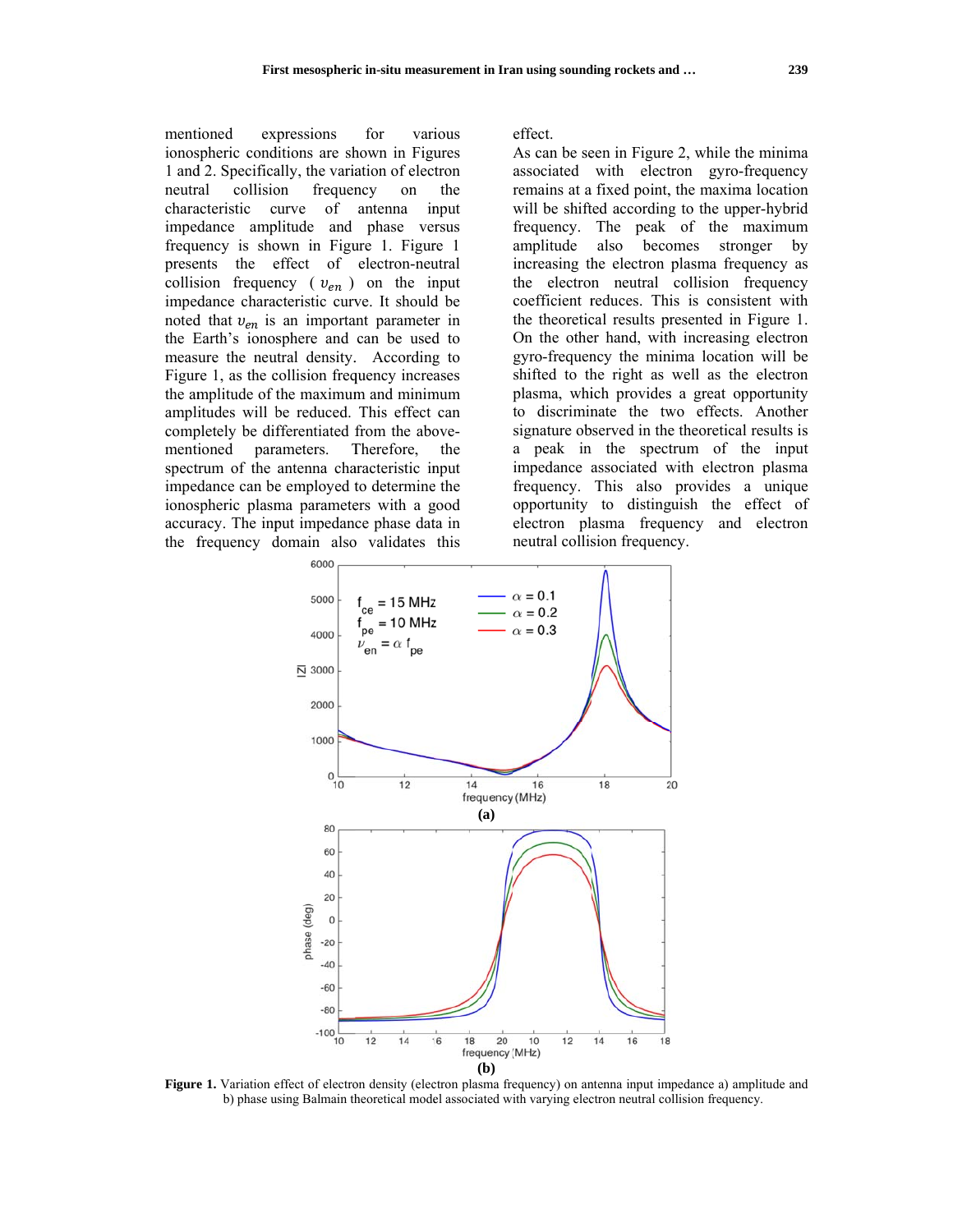menti ioned ex ionospheric conditions are shown in Figures 1 and 2. Specifically, the variation of electron neutral characteristic c impedance amplitude and phase versus frequency is shown in Figure 1. Figure 1 presents the effect of electron-neutral collision frequency ( $v_{en}$ ) on the input impedance characteristic curve. It should be noted that  $v_{en}$  is an important parameter in the E Earth's ionos sphere and can be used d to measure the neutral density. According to Figure 1, as the collision frequency increases the amplitude of the maximum and minimum amplitudes will be reduced. This effect can completely be differentiated from the abovementi ioned para spectrum of the antenna characteristic input impedance can be employed to determine the ionospheric plasma parameters with a good accuracy. The input impedance phase data in the frequency domain also validates this collision expressions on frequency on curve parameters. for various of antenna Therefore, the input the

effect.

As can be seen in Figure 2, while the minima associated with electron gyro-frequency remains at a fixed point, the maxima location will be shifted according to the upper-hybrid frequency. The peak of the maximum amplitude also becomes stron increasing the electron plasma frequency as the electron neutral collision frequency coefficient reduces. This is consistent with the theoretical results presented in Figure 1. On the other hand, with increasing electron gyro-frequency the minima location will be shifted to th he right as well as the electron plasma, whi ich provides s a great op portunity to discriminate the two effects. Another signature observed in the theoretical results is a peak in the spectrum of the input impedance associated with electron plasma frequency. This also provides a a unique opportunity to distinguish the effect of electron plasma frequency and electron neutral collision frequency. stronger by



Figure 1. Variation effect of electron density (electron plasma frequency) on antenna input impedance a) amplitude and b) phase using Balmain theoretical model associated with varying electron neutral collision frequency.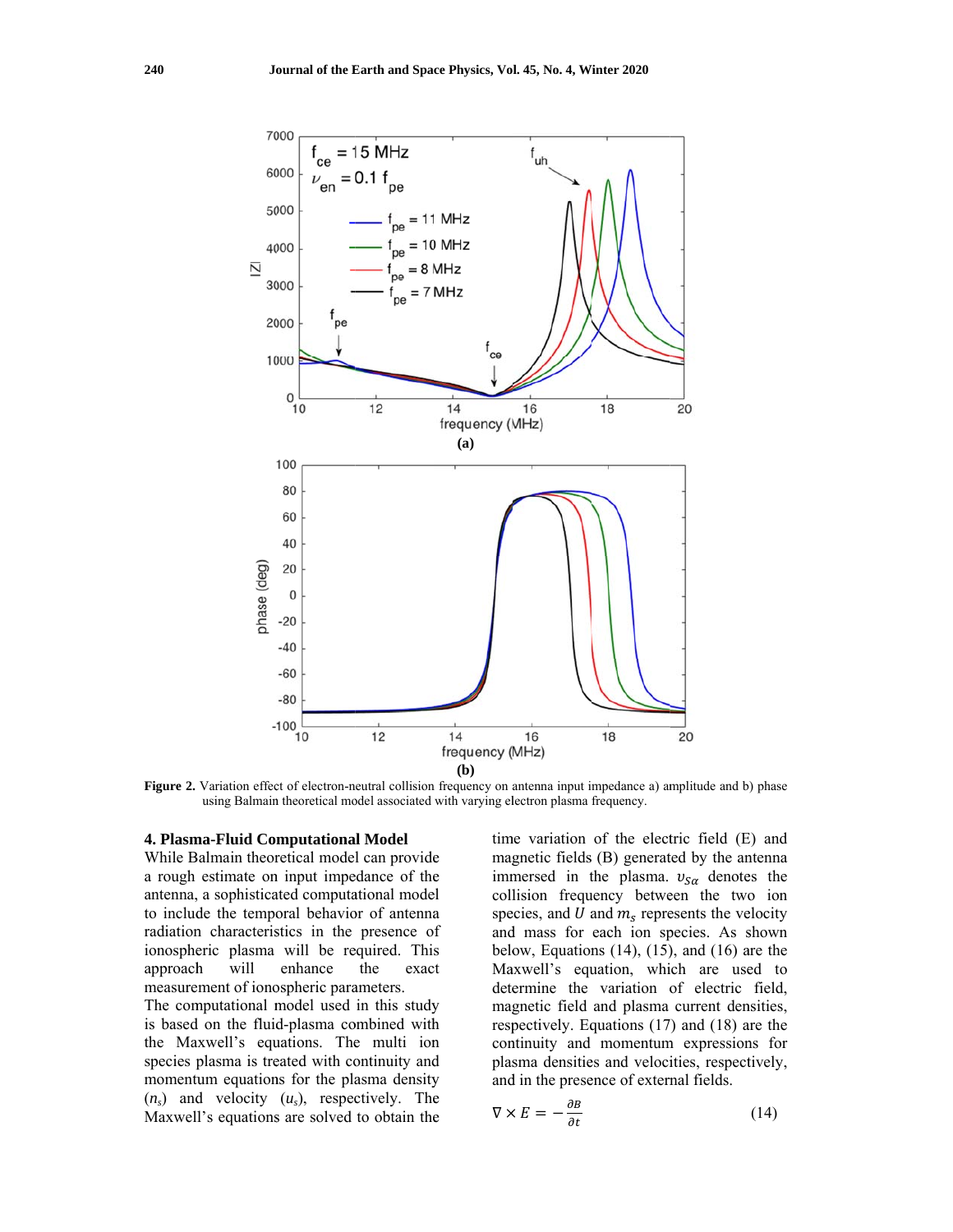

Figure 2. Variation effect of electron-neutral collision frequency on antenna input impedance a) amplitude and b) phase using Balmain theoretical model associated with varying electron plasma frequency.

## 4. Plasma-Fluid Computational Model

While Balmain theoretical model can provide a rough estimate on input impedance of the antenna, a sophisticated computational model to include the temporal behavior of antenna radiation characteristics in the presence of ionospheric plasma will be required. This will exact approach enhance the measurement of ionospheric parameters.

The computational model used in this study is based on the fluid-plasma combined with the Maxwell's equations. The multi ion species plasma is treated with continuity and momentum equations for the plasma density  $(n_s)$  and velocity  $(u_s)$ , respectively. The Maxwell's equations are solved to obtain the time variation of the electric field (E) and magnetic fields (B) generated by the antenna immersed in the plasma.  $v_{S\alpha}$  denotes the collision frequency between the two ion species, and  $U$  and  $m_s$  represents the velocity and mass for each ion species. As shown below, Equations  $(14)$ ,  $(15)$ , and  $(16)$  are the Maxwell's equation, which are used to determine the variation of electric field, magnetic field and plasma current densities, respectively. Equations (17) and (18) are the continuity and momentum expressions for plasma densities and velocities, respectively, and in the presence of external fields.

$$
\nabla \times E = -\frac{\partial B}{\partial t} \tag{14}
$$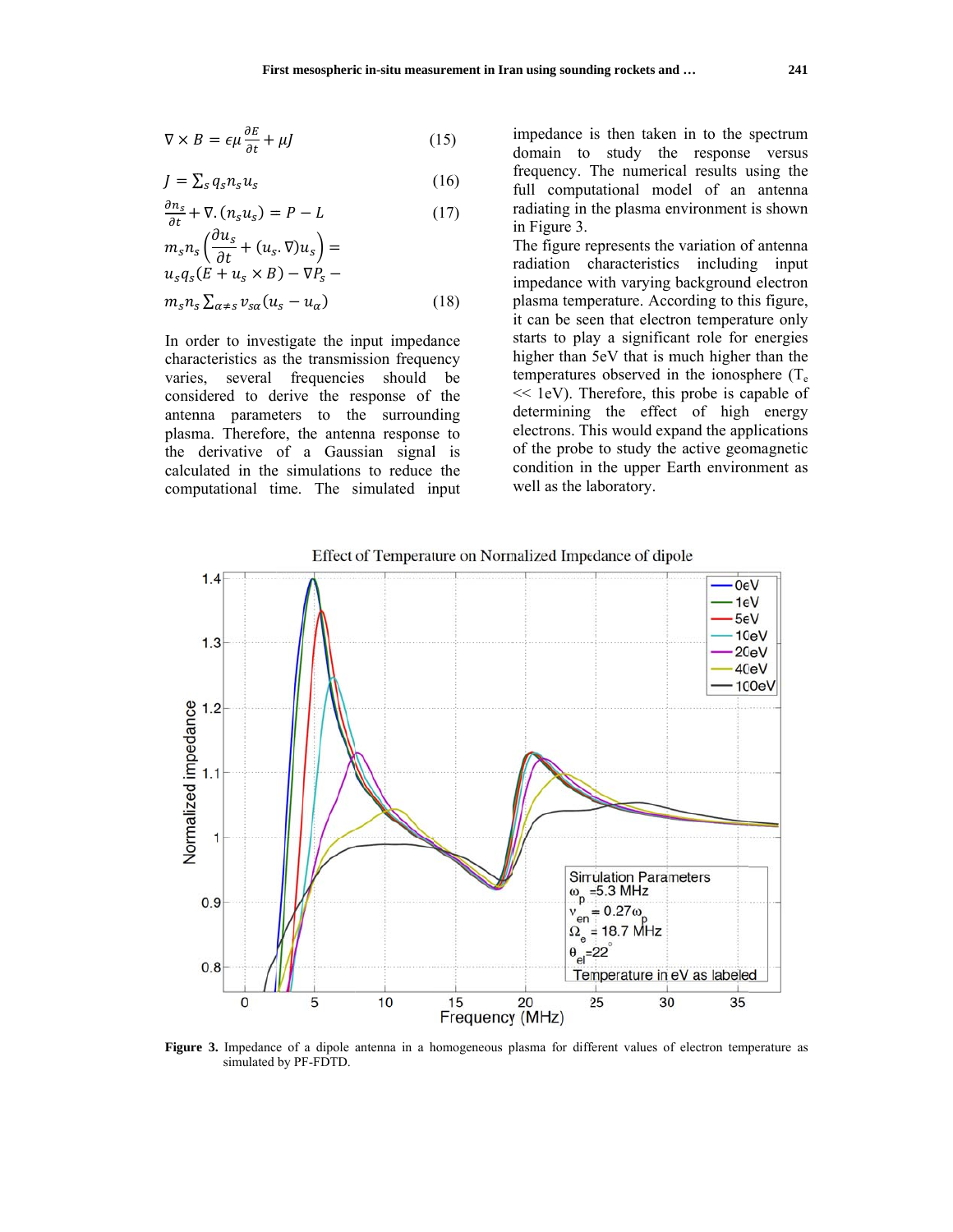$$
\nabla \times B = \epsilon \mu \frac{\partial E}{\partial t} + \mu J \tag{15}
$$

$$
J = \sum_{s} q_{s} n_{s} u_{s} \tag{16}
$$

$$
\frac{\partial n_s}{\partial t} + \nabla \cdot (n_s u_s) = P - L \tag{17}
$$

$$
m_s n_s \left(\frac{\partial u_s}{\partial t} + (u_s \cdot \nabla) u_s\right) =
$$
  
\n
$$
u_s q_s (E + u_s \times B) - \nabla P_s -
$$
  
\n
$$
m_s n_s \sum_{\alpha \neq s} v_{s\alpha} (u_s - u_\alpha)
$$
\n(18)

In order to investigate the input impedance characteristics as the transmission frequency varies, several frequencies should be considered to derive the response of the antenna parameters to the surrounding plasma. Therefore, the antenna response to the derivative of a Gaussian signal is calculated in the simulations to reduce the computational time. The simulated input impedance is then taken in to the spectrum domain to study the response versus frequency. The numerical results using the full computational model of an antenna radiating in the plasma environment is shown in Figure 3.

The figure represents the variation of antenna radiation characteristics including input impedance with varying background electron plasma temperature. According to this figure, it can be seen that electron temperature only starts to play a significant role for energies higher than 5eV that is much higher than the temperatures observed in the ionosphere  $(T_e)$  $<<$  1eV). Therefore, this probe is capable of determining the effect of high energy electrons. This would expand the applications of the probe to study the active geomagnetic condition in the upper Earth environment as well as the laboratory.



Figure 3. Impedance of a dipole antenna in a homogeneous plasma for different values of electron temperature as simulated by PF-FDTD.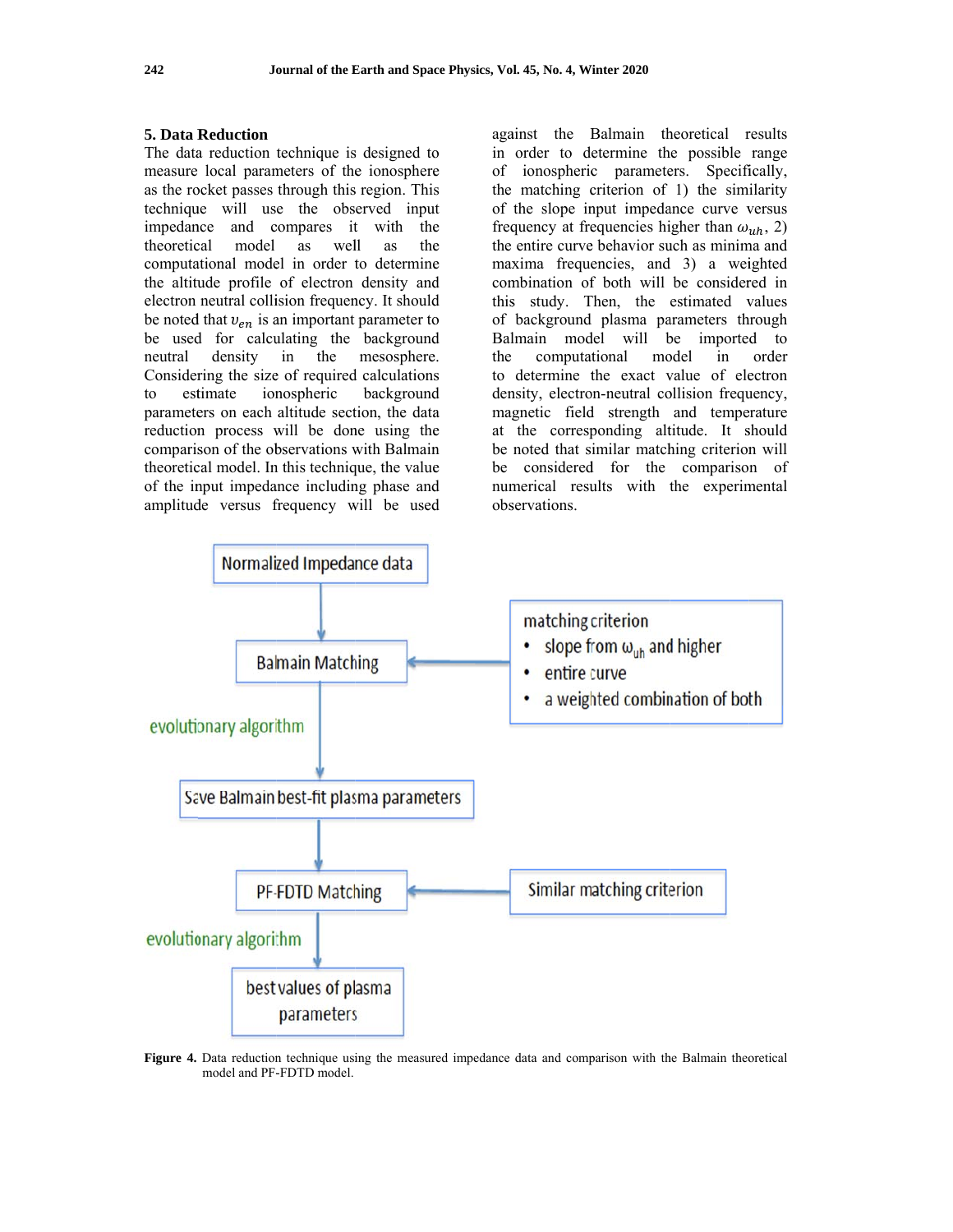#### **5. Data Reduction**

The data reduction technique is designed to measure local parameters of the ionosphere as the rocket passes through this region. This technique will use the observed input impedance and compares it with the theoretical model as well as the computational model in order to determine the altitude profile of electron density and electron neutral collision frequency. It should be noted that  $v_{en}$  is an important parameter to be used for calculating the background neutral density  $in$ the mesosphere. Considering the size of required calculations estimate ionospheric background  $\mathsf{to}$ parameters on each altitude section, the data reduction process will be done using the comparison of the observations with Balmain theoretical model. In this technique, the value of the input impedance including phase and amplitude versus frequency will be used

against the Balmain theoretical results in order to determine the possible range ionospheric parameters. Specifically, of the matching criterion of 1) the similarity of the slope input impedance curve versus frequency at frequencies higher than  $\omega_{uh}$ , 2) the entire curve behavior such as minima and maxima frequencies, and 3) a weighted combination of both will be considered in this study. Then, the estimated values of background plasma parameters through Balmain model will be imported to the computational model in order to determine the exact value of electron density, electron-neutral collision frequency, magnetic field strength and temperature at the corresponding altitude. It should be noted that similar matching criterion will considered for the comparison of be numerical results with the experimental observations.



Figure 4. Data reduction technique using the measured impedance data and comparison with the Balmain theoretical model and PF-FDTD model.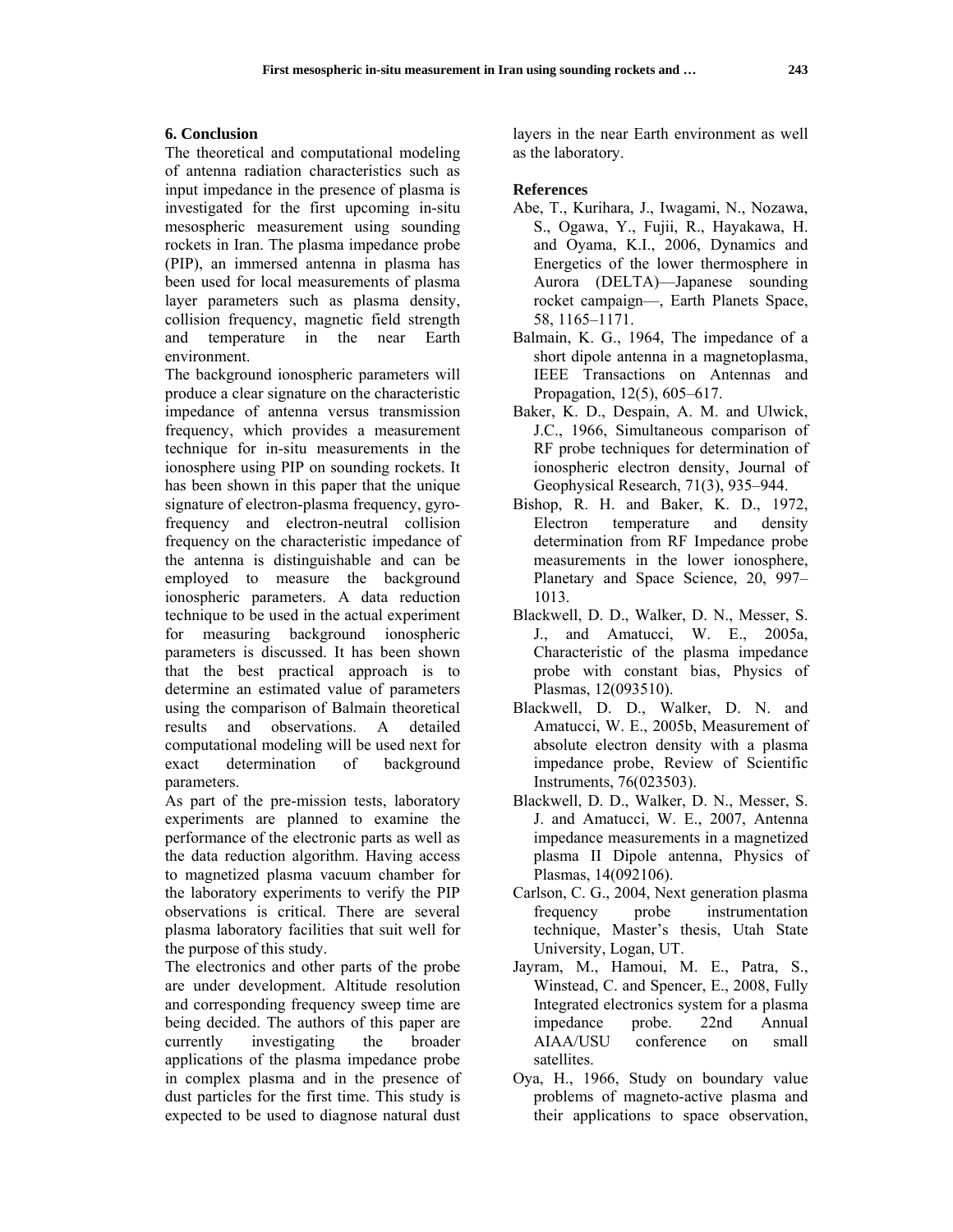### **6. Conclusion**

The theoretical and computational modeling of antenna radiation characteristics such as input impedance in the presence of plasma is investigated for the first upcoming in-situ mesospheric measurement using sounding rockets in Iran. The plasma impedance probe (PIP), an immersed antenna in plasma has been used for local measurements of plasma layer parameters such as plasma density, collision frequency, magnetic field strength and temperature in the near Earth environment.

The background ionospheric parameters will produce a clear signature on the characteristic impedance of antenna versus transmission frequency, which provides a measurement technique for in-situ measurements in the ionosphere using PIP on sounding rockets. It has been shown in this paper that the unique signature of electron-plasma frequency, gyrofrequency and electron-neutral collision frequency on the characteristic impedance of the antenna is distinguishable and can be employed to measure the background ionospheric parameters. A data reduction technique to be used in the actual experiment for measuring background ionospheric parameters is discussed. It has been shown that the best practical approach is to determine an estimated value of parameters using the comparison of Balmain theoretical results and observations. A detailed computational modeling will be used next for exact determination of background parameters.

As part of the pre-mission tests, laboratory experiments are planned to examine the performance of the electronic parts as well as the data reduction algorithm. Having access to magnetized plasma vacuum chamber for the laboratory experiments to verify the PIP observations is critical. There are several plasma laboratory facilities that suit well for the purpose of this study.

The electronics and other parts of the probe are under development. Altitude resolution and corresponding frequency sweep time are being decided. The authors of this paper are currently investigating the broader applications of the plasma impedance probe in complex plasma and in the presence of dust particles for the first time. This study is expected to be used to diagnose natural dust layers in the near Earth environment as well as the laboratory.

#### **References**

- Abe, T., Kurihara, J., Iwagami, N., Nozawa, S., Ogawa, Y., Fujii, R., Hayakawa, H. and Oyama, K.I., 2006, Dynamics and Energetics of the lower thermosphere in Aurora (DELTA)—Japanese sounding rocket campaign—, Earth Planets Space, 58, 1165–1171.
- Balmain, K. G., 1964, The impedance of a short dipole antenna in a magnetoplasma, IEEE Transactions on Antennas and Propagation, 12(5), 605–617.
- Baker, K. D., Despain, A. M. and Ulwick, J.C., 1966, Simultaneous comparison of RF probe techniques for determination of ionospheric electron density, Journal of Geophysical Research, 71(3), 935–944.
- Bishop, R. H. and Baker, K. D., 1972, Electron temperature and density determination from RF Impedance probe measurements in the lower ionosphere, Planetary and Space Science, 20, 997– 1013.
- Blackwell, D. D., Walker, D. N., Messer, S. J., and Amatucci, W. E., 2005a, Characteristic of the plasma impedance probe with constant bias, Physics of Plasmas, 12(093510).
- Blackwell, D. D., Walker, D. N. and Amatucci, W. E., 2005b, Measurement of absolute electron density with a plasma impedance probe, Review of Scientific Instruments, 76(023503).
- Blackwell, D. D., Walker, D. N., Messer, S. J. and Amatucci, W. E., 2007, Antenna impedance measurements in a magnetized plasma II Dipole antenna, Physics of Plasmas, 14(092106).
- Carlson, C. G., 2004, Next generation plasma frequency probe instrumentation technique, Master's thesis, Utah State University, Logan, UT.
- Jayram, M., Hamoui, M. E., Patra, S., Winstead, C. and Spencer, E., 2008, Fully Integrated electronics system for a plasma impedance probe. 22nd Annual AIAA/USU conference on small satellites.
- Oya, H., 1966, Study on boundary value problems of magneto-active plasma and their applications to space observation,